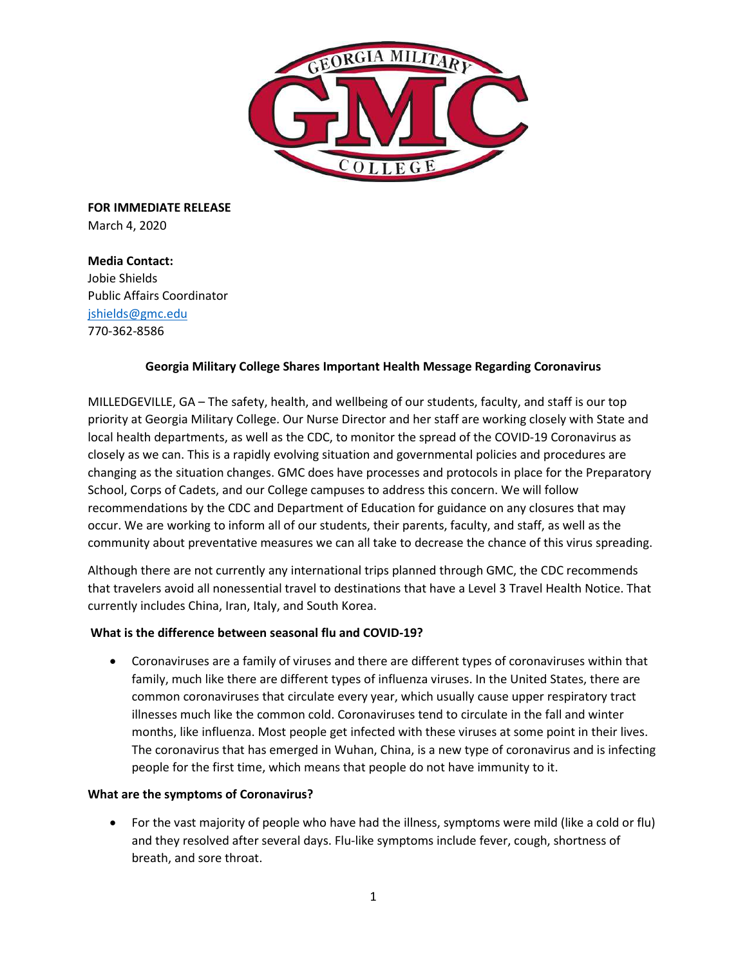

**FOR IMMEDIATE RELEASE** March 4, 2020

**Media Contact:**  Jobie Shields Public Affairs Coordinator [jshields@gmc.edu](mailto:jshields@gmc.edu) 770-362-8586

# **Georgia Military College Shares Important Health Message Regarding Coronavirus**

MILLEDGEVILLE, GA – The safety, health, and wellbeing of our students, faculty, and staff is our top priority at Georgia Military College. Our Nurse Director and her staff are working closely with State and local health departments, as well as the CDC, to monitor the spread of the COVID-19 Coronavirus as closely as we can. This is a rapidly evolving situation and governmental policies and procedures are changing as the situation changes. GMC does have processes and protocols in place for the Preparatory School, Corps of Cadets, and our College campuses to address this concern. We will follow recommendations by the CDC and Department of Education for guidance on any closures that may occur. We are working to inform all of our students, their parents, faculty, and staff, as well as the community about preventative measures we can all take to decrease the chance of this virus spreading.

Although there are not currently any international trips planned through GMC, the CDC recommends that travelers avoid all nonessential travel to destinations that have a Level 3 Travel Health Notice. That currently includes China, Iran, Italy, and South Korea.

# **What is the difference between seasonal flu and COVID-19?**

• Coronaviruses are a family of viruses and there are different types of coronaviruses within that family, much like there are different types of influenza viruses. In the United States, there are common coronaviruses that circulate every year, which usually cause upper respiratory tract illnesses much like the common cold. Coronaviruses tend to circulate in the fall and winter months, like influenza. Most people get infected with these viruses at some point in their lives. The coronavirus that has emerged in Wuhan, China, is a new type of coronavirus and is infecting people for the first time, which means that people do not have immunity to it.

# **What are the symptoms of Coronavirus?**

• For the vast majority of people who have had the illness, symptoms were mild (like a cold or flu) and they resolved after several days. Flu-like symptoms include fever, cough, shortness of breath, and sore throat.